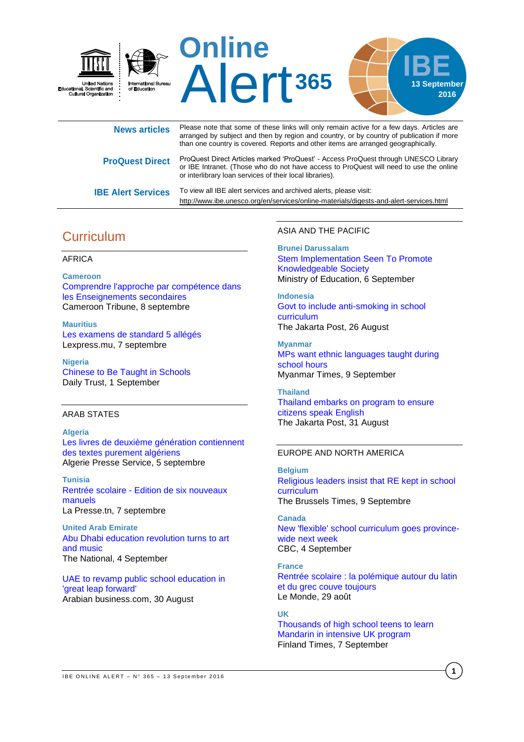

| <b>News articles</b>      | Please note that some of these links will only remain active for a few days. Articles are<br>arranged by subject and then by region and country, or by country of publication if more<br>than one country is covered. Reports and other items are arranged geographically. |
|---------------------------|----------------------------------------------------------------------------------------------------------------------------------------------------------------------------------------------------------------------------------------------------------------------------|
| <b>ProQuest Direct</b>    | ProQuest Direct Articles marked 'ProQuest' - Access ProQuest through UNESCO Library<br>or IBE Intranet. (Those who do not have access to ProQuest will need to use the online<br>or interlibrary loan services of their local libraries).                                  |
| <b>IBE Alert Services</b> | To view all IBE alert services and archived alerts, please visit:<br>http://www.ibe.unesco.org/en/services/online-materials/digests-and-alert-services.html                                                                                                                |

# **Curriculum**

### AFRICA

**Cameroon** [Comprendre l'approche par compétence dans](http://fr.allafrica.com/stories/201609080572.html)  [les Enseignements secondaires](http://fr.allafrica.com/stories/201609080572.html) Cameroon Tribune, 8 septembre

**Mauritius** [Les examens de standard 5 allégés](http://fr.allafrica.com/stories/201609071428.html) Lexpress.mu, 7 septembre

**Nigeria** [Chinese to Be Taught in Schools](http://allafrica.com/stories/201609010756.html) Daily Trust, 1 September

### ARAB STATES

### **Algeria**

[Les livres de deuxième génération contiennent](http://fr.allafrica.com/stories/201609051675.html)  [des textes purement algériens](http://fr.allafrica.com/stories/201609051675.html) Algerie Presse Service, 5 septembre

**Tunisia** Rentrée scolaire - [Edition de six nouveaux](http://fr.allafrica.com/stories/201609071134.html)  [manuels](http://fr.allafrica.com/stories/201609071134.html) La Presse.tn, 7 septembre

**United Arab Emirate** [Abu Dhabi education revolution turns to art](http://www.thenational.ae/uae/abu-dhabi-education-revolution-turns-to-art-and-music)  [and music](http://www.thenational.ae/uae/abu-dhabi-education-revolution-turns-to-art-and-music) The National, 4 September

[UAE to revamp public school education in](http://www.arabianbusiness.com/uae-revamp-public-school-education-in-great-leap-forward--643890.html#.V9bzU2CdKQs)  ['great leap forward'](http://www.arabianbusiness.com/uae-revamp-public-school-education-in-great-leap-forward--643890.html#.V9bzU2CdKQs) Arabian business.com, 30 August

### ASIA AND THE PACIFIC

**Brunei Darussalam** [Stem Implementation Seen To Promote](http://www.moe.gov.bn/Lists/Announcement/DispFormCustom.aspx?ID=186)  [Knowledgeable Society](http://www.moe.gov.bn/Lists/Announcement/DispFormCustom.aspx?ID=186) Ministry of Education, 6 September

**Indonesia** [Govt to include anti-smoking in school](http://www.thejakartapost.com/news/2016/08/26/govt-to-include-anti-smoking-in-school-curriculum.html)  [curriculum](http://www.thejakartapost.com/news/2016/08/26/govt-to-include-anti-smoking-in-school-curriculum.html) The Jakarta Post, 26 August

**Myanmar** [MPs want ethnic languages taught during](http://www.mmtimes.com/index.php/national-news/nay-pyi-taw/22412-mps-want-ethnic-languages-taught-during-school-hours.html)  [school hours](http://www.mmtimes.com/index.php/national-news/nay-pyi-taw/22412-mps-want-ethnic-languages-taught-during-school-hours.html) Myanmar Times, 9 September

**Thailand** [Thailand embarks on program to ensure](http://www.thejakartapost.com/seasia/2016/08/31/thailand-embarks-on-program-to-ensure-citizens-speak-english-.html?fb_comment_id=1040030366094231_1040097046087563#f37875d77)  [citizens speak English](http://www.thejakartapost.com/seasia/2016/08/31/thailand-embarks-on-program-to-ensure-citizens-speak-english-.html?fb_comment_id=1040030366094231_1040097046087563#f37875d77) The Jakarta Post, 31 August

### EUROPE AND NORTH AMERICA

**Belgium** [Religious leaders insist that RE kept in school](http://www.brusselstimes.com/belgium/6389/religious-leaders-demand-philosophy-and-citizenship-course-to-maintain-religion-s-direction)  [curriculum](http://www.brusselstimes.com/belgium/6389/religious-leaders-demand-philosophy-and-citizenship-course-to-maintain-religion-s-direction) The Brussels Times, 9 Septembre

 **30 August Canada**

[New 'flexible' school curriculum goes province](http://www.cbc.ca/news/canada/british-columbia/new-flexible-school-curriculum-goes-province-wide-next-week-1.3743299)[wide next week](http://www.cbc.ca/news/canada/british-columbia/new-flexible-school-curriculum-goes-province-wide-next-week-1.3743299) CBC, 4 September

**France** Rentrée scolaire [: la polémique autour du latin](http://www.lemonde.fr/education/article/2016/08/29/rentree-scolaire-la-polemique-autour-du-latin-et-du-grec-couve-toujours_4989277_1473685.html)  [et du grec couve toujours](http://www.lemonde.fr/education/article/2016/08/29/rentree-scolaire-la-polemique-autour-du-latin-et-du-grec-couve-toujours_4989277_1473685.html) Le Monde, 29 août

### **UK**

[Thousands of high school teens to learn](http://www.finlandtimes.fi/education/2016/09/07/29956/Thousands-of-high-school-teens-to-learn-Mandarin-in-intensive-UK-program)  [Mandarin in intensive UK program](http://www.finlandtimes.fi/education/2016/09/07/29956/Thousands-of-high-school-teens-to-learn-Mandarin-in-intensive-UK-program) Finland Times, 7 September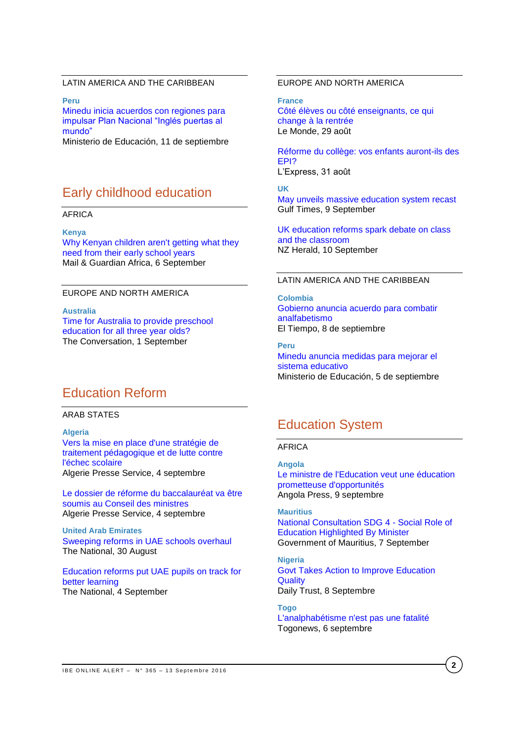# LATIN AMERICA AND THE CARIBBEAN

**Peru**

[Minedu inicia acuerdos con regiones para](http://www.minedu.gob.pe/n/noticia.php?id=39576)  [impulsar Plan Nacional "Inglés puertas al](http://www.minedu.gob.pe/n/noticia.php?id=39576)  [mundo"](http://www.minedu.gob.pe/n/noticia.php?id=39576)

Ministerio de Educación, 11 de septiembre

# Early childhood education

# AFRICA

#### **Kenya**

[Why Kenyan children aren't getting what they](http://mgafrica.com/article/2016-09-06-why-kenyan-children-arent-getting-what-they-need-from-their-early-school-years)  [need from their early school years](http://mgafrica.com/article/2016-09-06-why-kenyan-children-arent-getting-what-they-need-from-their-early-school-years) Mail & Guardian Africa, 6 September

### EUROPE AND NORTH AMERICA

**Australia** [Time for Australia to provide preschool](http://theconversation.com/time-for-australia-to-provide-preschool-education-for-all-three-year-olds-64665)  education [for all three year](http://theconversation.com/time-for-australia-to-provide-preschool-education-for-all-three-year-olds-64665) olds? The Conversation, 1 September

# Education Reform

# ARAB STATES

### **Algeria**

[Vers la mise en place d'une stratégie de](http://fr.allafrica.com/stories/201609050698.html)  [traitement pédagogique et de lutte contre](http://fr.allafrica.com/stories/201609050698.html)  [l'échec scolaire](http://fr.allafrica.com/stories/201609050698.html) Algerie Presse Service, 4 septembre

[Le dossier de réforme du baccalauréat va être](http://fr.allafrica.com/stories/201609040231.html)  [soumis au Conseil des ministres](http://fr.allafrica.com/stories/201609040231.html) Algerie Presse Service, 4 septembre

**United Arab Emirates** [Sweeping reforms in UAE schools overhaul](http://www.thenational.ae/uae/sweeping-reforms-in-uae-schools-overhaul) The National, 30 August

[Education reforms put UAE pupils on track for](http://www.thenational.ae/uae/education/education-reforms-put-uae-pupils-on-track-for-better-learning)  [better learning](http://www.thenational.ae/uae/education/education-reforms-put-uae-pupils-on-track-for-better-learning) The National, 4 September

#### **13 September** EUROPE AND NORTH AMERICA

**France** [Côté élèves ou côté enseignants, ce qui](http://www.lemonde.fr/education/article/2016/08/29/un-objectif-pour-les-eleves-lire-ecrire-compter-et-penser_4989247_1473685.html)  [change à la rentrée](http://www.lemonde.fr/education/article/2016/08/29/un-objectif-pour-les-eleves-lire-ecrire-compter-et-penser_4989247_1473685.html) Le Monde, 29 août

[Réforme du collège: vos enfants auront-ils des](http://www.lexpress.fr/education/reforme-des-colleges-vos-enfants-auront-ils-des-epi_1824676.html)  [EPI?](http://www.lexpress.fr/education/reforme-des-colleges-vos-enfants-auront-ils-des-epi_1824676.html) L'Express, 31 août

**UK**

[May unveils massive education system recast](http://www.gulf-times.com/story/512286/May-unveils-massive-education-system-recast) Gulf Times, 9 September

[UK education reforms spark debate on class](http://www.nzherald.co.nz/lifestyle/news/article.cfm?c_id=6&objectid=11707030)  [and the classroom](http://www.nzherald.co.nz/lifestyle/news/article.cfm?c_id=6&objectid=11707030) NZ Herald, 10 September

### LATIN AMERICA AND THE CARIBBEAN

# **Colombia**

[Gobierno anuncia acuerdo para combatir](http://www.eltiempo.com/estilo-de-vida/educacion/ministerio-de-educacion-suscribio-un-acuerdo-para-combatir-el-analfabetismo/16695851)  [analfabetismo](http://www.eltiempo.com/estilo-de-vida/educacion/ministerio-de-educacion-suscribio-un-acuerdo-para-combatir-el-analfabetismo/16695851) El Tiempo, 8 de septiembre

**Peru** [Minedu anuncia medidas para mejorar el](http://www.minedu.gob.pe/n/noticia.php?id=39511)  [sistema educativo](http://www.minedu.gob.pe/n/noticia.php?id=39511) Ministerio de Educación, 5 de septiembre

# Education System

# AFRICA

**Angola** [Le ministre de l'Education veut une éducation](http://fr.allafrica.com/stories/201609100184.html)  [prometteuse d'opportunités](http://fr.allafrica.com/stories/201609100184.html) Angola Press, 9 septembre

**Mauritius** [National Consultation SDG 4 -](http://allafrica.com/stories/201609071266.html) Social Role of [Education Highlighted By Minister](http://allafrica.com/stories/201609071266.html) Government of Mauritius, 7 September

**Nigeria** [Govt Takes Action to Improve Education](http://allafrica.com/stories/201609080555.html)  **[Quality](http://allafrica.com/stories/201609080555.html)** Daily Trust, 8 Septembre

**Togo** [L'analphabétisme n'est pas une fatalité](http://fr.allafrica.com/stories/201609070423.html) Togonews, 6 septembre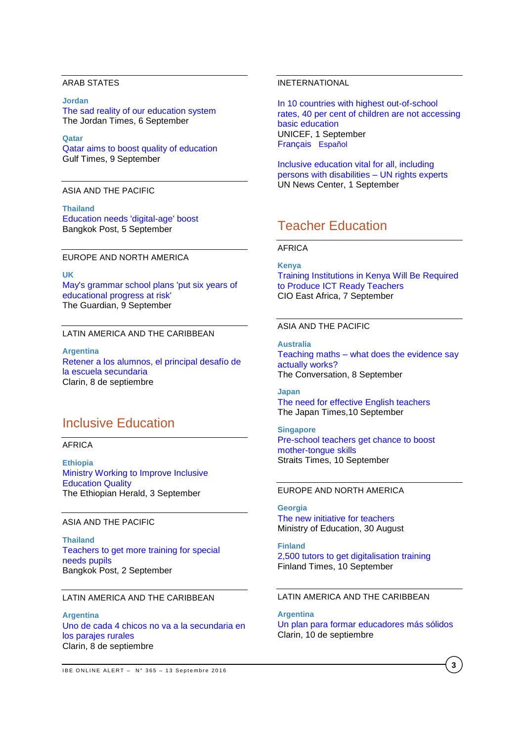# ARAB STATES

**Jordan** [The sad reality of our education system](http://www.jordantimes.com/opinion/hasan-abu-nimah/sad-reality-our-education-system) The Jordan Times, 6 September

**Qatar** [Qatar aims to boost quality of education](http://www.gulf-times.com/story/512224/Qatar-aims-to-boost-quality-of-education) Gulf Times, 9 September

ASIA AND THE PACIFIC

**Thailand** [Education needs 'digital-age' boost](http://www.bangkokpost.com/news/general/1078520/education-needs-digital-age-boost)  Bangkok Post, 5 September

### EUROPE AND NORTH AMERICA

**UK** [May's grammar school plans 'put six years of](https://www.theguardian.com/education/2016/sep/09/mays-grammar-school-plans-put-six-years-of-educational-progress-at-risk)  [educational progress at risk'](https://www.theguardian.com/education/2016/sep/09/mays-grammar-school-plans-put-six-years-of-educational-progress-at-risk) The Guardian, 9 September

### LATIN AMERICA AND THE CARIBBEAN

**Argentina** [Retener a los alumnos, el principal desafío de](http://www.clarin.com/sociedad/Retener-alumnos-principal-escuela-secundaria_0_1646835443.html)  [la escuela secundaria](http://www.clarin.com/sociedad/Retener-alumnos-principal-escuela-secundaria_0_1646835443.html) Clarin, 8 de septiembre

# Inclusive Education

### AFRICA

**Ethiopia** [Ministry Working to Improve Inclusive](http://allafrica.com/stories/201609061079.html)  [Education Quality](http://allafrica.com/stories/201609061079.html) The Ethiopian Herald, 3 September

#### ASIA AND THE PACIFIC

**Thailand** [Teachers to get more training for special](http://www.bangkokpost.com/news/general/1076188/teachers-to-get-more-training-for-special-needs-pupils)  [needs pupils](http://www.bangkokpost.com/news/general/1076188/teachers-to-get-more-training-for-special-needs-pupils)  Bangkok Post, 2 September

# LATIN AMERICA AND THE CARIBBEAN

**Argentina** [Uno de cada 4 chicos no va a la secundaria en](http://www.clarin.com/sociedad/chicos-va-secundaria-parajes-rurales_0_1646235524.html)  [los parajes rurales](http://www.clarin.com/sociedad/chicos-va-secundaria-parajes-rurales_0_1646235524.html) Clarin, 8 de septiembre

[In 10 countries with highest out-of-school](http://www.unicef.org/media/media_92700.html)  [rates, 40 per cent of children are not accessing](http://www.unicef.org/media/media_92700.html)  [basic education](http://www.unicef.org/media/media_92700.html) UNICEF, 1 September [Français](http://www.un.org/apps/newsFr/storyF.asp?NewsID=37965#.V9W1QmCdKQs) [Español](http://www.un.org/spanish/News/story.asp?NewsID=35733#.V9W1gmCdKQs)

[Inclusive education vital for all, including](http://www.un.org/apps/news/story.asp?NewsID=54812#.V9W0t2CdKQs)  [persons with disabilities –](http://www.un.org/apps/news/story.asp?NewsID=54812#.V9W0t2CdKQs) UN rights experts UN News Center, 1 September

# Teacher Education

# AFRICA

**Kenya**

[Training Institutions in Kenya Will Be Required](http://allafrica.com/stories/201609071358.html)  [to Produce ICT Ready Teachers](http://allafrica.com/stories/201609071358.html) CIO East Africa, 7 September

### ASIA AND THE PACIFIC

**Australia** Teaching maths – [what does the evidence say](http://theconversation.com/teaching-maths-what-does-the-evidence-say-actually-works-64976)  [actually](http://theconversation.com/teaching-maths-what-does-the-evidence-say-actually-works-64976) works? The Conversation, 8 September

**Japan** [The need for effective English teachers](http://www.japantimes.co.jp/opinion/2016/09/10/commentary/japan-commentary/need-effective-english-teachers/#.V9b6OmCdKQs) The Japan Times,10 September

# **Singapore**

[Pre-school teachers get chance to boost](http://www.straitstimes.com/singapore/education/pre-school-teachers-get-chance-to-boost-mother-tongue-skills)  [mother-tongue skills](http://www.straitstimes.com/singapore/education/pre-school-teachers-get-chance-to-boost-mother-tongue-skills) Straits Times, 10 September

### EUROPE AND NORTH AMERICA

**Georgia** [The new initiative for teachers](http://www.mes.gov.ge/content.php?id=6654&lang=eng) Ministry of Education, 30 August

**Finland** [2,500 tutors to get digitalisation training](http://www.finlandtimes.fi/education/2016/09/10/30030/2,500-tutors-to-get-digitalisation-training) Finland Times, 10 September

### LATIN AMERICA AND THE CARIBBEAN

**Argentina** [Un plan para formar educadores más sólidos](http://www.clarin.com/sociedad/plan-formar-educadores-solidos_0_1647435446.html) Clarin, 10 de septiembre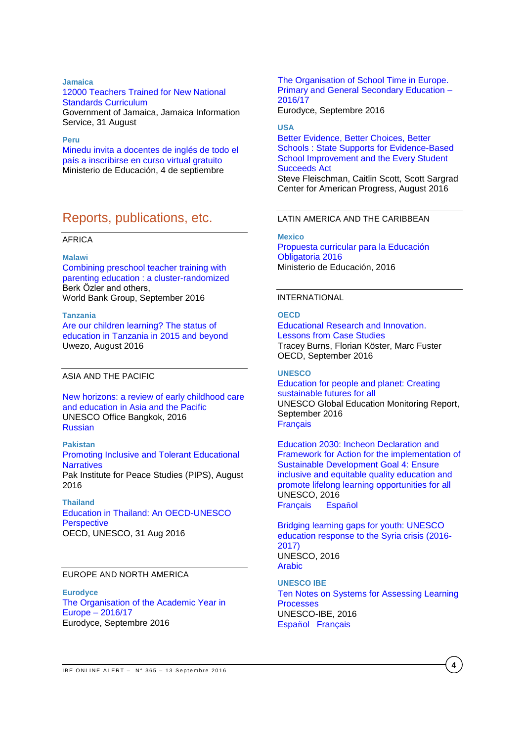### **Jamaica**

# [12000 Teachers Trained for New National](http://jis.gov.jm/12000-teachers-trained-new-national-standards-curriculum/)  [Standards Curriculum](http://jis.gov.jm/12000-teachers-trained-new-national-standards-curriculum/)

Government of Jamaica, Jamaica Information Service, 31 August

### **Peru**

[Minedu invita a docentes de inglés de todo el](http://www.minedu.gob.pe/n/noticia.php?id=39495)  [país a inscribirse en curso virtual gratuito](http://www.minedu.gob.pe/n/noticia.php?id=39495) Ministerio de Educación, 4 de septiembre

# Reports, publications, etc.

### AFRICA

#### **Malawi**

[Combining preschool teacher training with](http://documents.worldbank.org/curated/en/580351473691118169/pdf/WPS7817.pdf)  [parenting education : a cluster-randomized](http://documents.worldbank.org/curated/en/580351473691118169/pdf/WPS7817.pdf)  Berk Özler and others, World Bank Group, September 2016

#### **Tanzania**

[Are our children learning? The status of](http://www.twaweza.org/uploads/files/2014UwezoTanzania-FINAL-web.pdf)  [education in Tanzania in 2015 and beyond](http://www.twaweza.org/uploads/files/2014UwezoTanzania-FINAL-web.pdf) Uwezo, August 2016

### ASIA AND THE PACIFIC

[New horizons: a review of early childhood care](http://unesdoc.unesco.org/images/0024/002457/245728e.pdf)  [and education in Asia and the Pacific](http://unesdoc.unesco.org/images/0024/002457/245728e.pdf) UNESCO Office Bangkok, 2016 [Russian](http://unesdoc.unesco.org/images/0024/002457/245728r.pdf)

### **Pakistan**

[Promoting Inclusive and Tolerant Educational](http://pakpips.com/downloads/PIPS-Promoting-Inclusive-Educational.pdf)  **Narratives** Pak Institute for Peace Studies (PIPS), August

2016

**Thailand** [Education in Thailand: An OECD-UNESCO](http://www.oecd-ilibrary.org/education/education-in-thailand_9789264259119-en;jsessionid=a4shb0r0onba5.x-oecd-live-02)  **[Perspective](http://www.oecd-ilibrary.org/education/education-in-thailand_9789264259119-en;jsessionid=a4shb0r0onba5.x-oecd-live-02)** OECD, UNESCO, 31 Aug 2016

# EUROPE AND NORTH AMERICA

**Eurodyce** [The Organisation of the Academic Year in](https://webgate.ec.europa.eu/fpfis/mwikis/eurydice/images/0/09/Academicyear_2016_17.pdf)  [Europe –](https://webgate.ec.europa.eu/fpfis/mwikis/eurydice/images/0/09/Academicyear_2016_17.pdf) 2016/17 Eurodyce, Septembre 2016

[The Organisation of School Time in Europe.](https://webgate.ec.europa.eu/fpfis/mwikis/eurydice/images/2/27/Schoolcalendar_2016_17.pdf)  [Primary and General Secondary Education –](https://webgate.ec.europa.eu/fpfis/mwikis/eurydice/images/2/27/Schoolcalendar_2016_17.pdf) [2016/17](https://webgate.ec.europa.eu/fpfis/mwikis/eurydice/images/2/27/Schoolcalendar_2016_17.pdf)

Eurodyce, Septembre 2016

#### **USA**

[Better Evidence, Better Choices, Better](https://cdn.americanprogress.org/wp-content/uploads/2016/08/30141500/EvidenceESSA-report.pdf)  Schools [: State Supports for Evidence-Based](https://cdn.americanprogress.org/wp-content/uploads/2016/08/30141500/EvidenceESSA-report.pdf)  [School Improvement and the Every Student](https://cdn.americanprogress.org/wp-content/uploads/2016/08/30141500/EvidenceESSA-report.pdf)  [Succeeds Act](https://cdn.americanprogress.org/wp-content/uploads/2016/08/30141500/EvidenceESSA-report.pdf) Steve Fleischman, Caitlin Scott, Scott Sargrad

Center for American Progress, August 2016

# LATIN AMERICA AND THE CARIBBEAN

**Mexico**

[Propuesta curricular para la Educación](https://www.gob.mx/cms/uploads/docs/Propuesta-Curricular-baja.pdf)  [Obligatoria 2016](https://www.gob.mx/cms/uploads/docs/Propuesta-Curricular-baja.pdf) Ministerio de Educación, 2016

### INTERNATIONAL

### **OECD**

[Educational Research and Innovation.](http://www.oecd-ilibrary.org/education/education-governance-in-action_9789264262829-en;jsessionid=5q037i980qfa8.x-oecd-live-02)  [Lessons from Case Studies](http://www.oecd-ilibrary.org/education/education-governance-in-action_9789264262829-en;jsessionid=5q037i980qfa8.x-oecd-live-02) Tracey Burns, Florian Köster, Marc Fuster OECD, September 2016

#### **UNESCO**

[Education for people and planet: Creating](http://unesdoc.unesco.org/images/0024/002457/245752e.pdf)  [sustainable futures for all](http://unesdoc.unesco.org/images/0024/002457/245752e.pdf) UNESCO Global Education Monitoring Report, September 2016 [Français](http://unesdoc.unesco.org/images/0024/002457/245745f.pdf)

[Education 2030: Incheon Declaration and](http://unesdoc.unesco.org/images/0024/002456/245656e.pdf)  [Framework for Action for the implementation of](http://unesdoc.unesco.org/images/0024/002456/245656e.pdf)  [Sustainable Development Goal 4: Ensure](http://unesdoc.unesco.org/images/0024/002456/245656e.pdf)  [inclusive and equitable quality education and](http://unesdoc.unesco.org/images/0024/002456/245656e.pdf)  [promote lifelong learning opportunities for all](http://unesdoc.unesco.org/images/0024/002456/245656e.pdf) UNESCO, 2016 [Français](http://unesdoc.unesco.org/images/0024/002456/245656f.pdf) [Espa](http://unesdoc.unesco.org/images/0024/002456/245656s.pdf)ñol

[Bridging learning gaps for youth: UNESCO](http://unesdoc.unesco.org/images/0024/002443/244333e.pdf)  [education response to the Syria crisis \(2016-](http://unesdoc.unesco.org/images/0024/002443/244333e.pdf) [2017\)](http://unesdoc.unesco.org/images/0024/002443/244333e.pdf) UNESCO, 2016 [Arabic](http://www.unesco.org/new/fileadmin/MULTIMEDIA/HQ/PCPD/pdf/AR_Bridging_Learning_Gaps_for_the_Youth.pdf) 

**UNESCO IBE** [Ten Notes on Systems for Assessing Learning](http://unesdoc.unesco.org/images/0024/002457/245774E.pdf)  **[Processes](http://unesdoc.unesco.org/images/0024/002457/245774E.pdf)** UNESCO-IBE, 2016 Españ[ol Français](http://unesdoc.unesco.org/images/0024/002457/245774F.pdf)